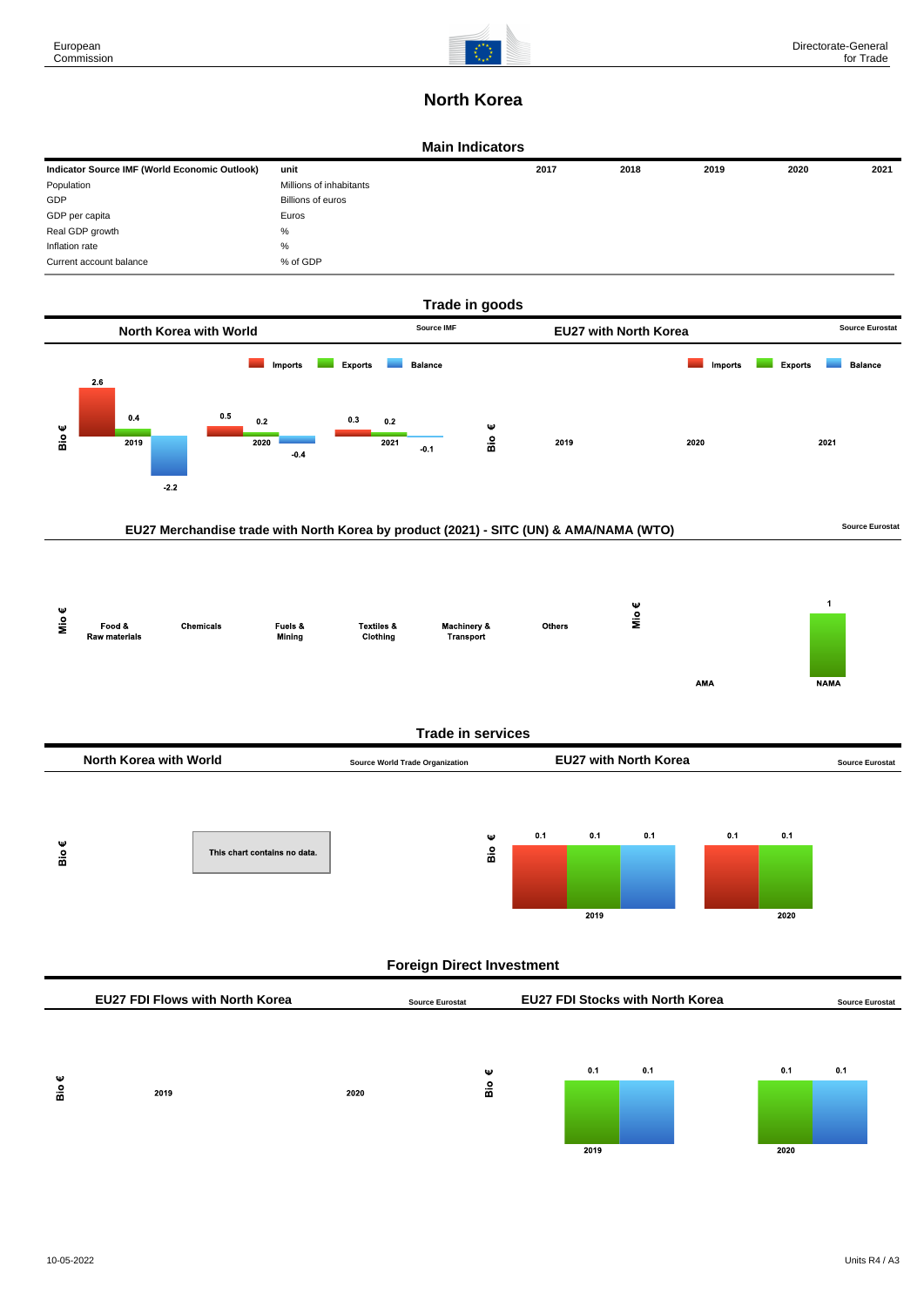

# **North Korea**

### **Main Indicators**

| Indicator Source IMF (World Economic Outlook) | unit                    | 2017 | 2018 | 2019 | 2020 | 2021 |
|-----------------------------------------------|-------------------------|------|------|------|------|------|
| Population                                    | Millions of inhabitants |      |      |      |      |      |
| GDP                                           | Billions of euros       |      |      |      |      |      |
| GDP per capita                                | Euros                   |      |      |      |      |      |
| Real GDP growth                               | %                       |      |      |      |      |      |
| Inflation rate                                | %                       |      |      |      |      |      |
| Current account balance                       | % of GDP                |      |      |      |      |      |



 $\overline{2019}$ 

 $\overline{2020}$